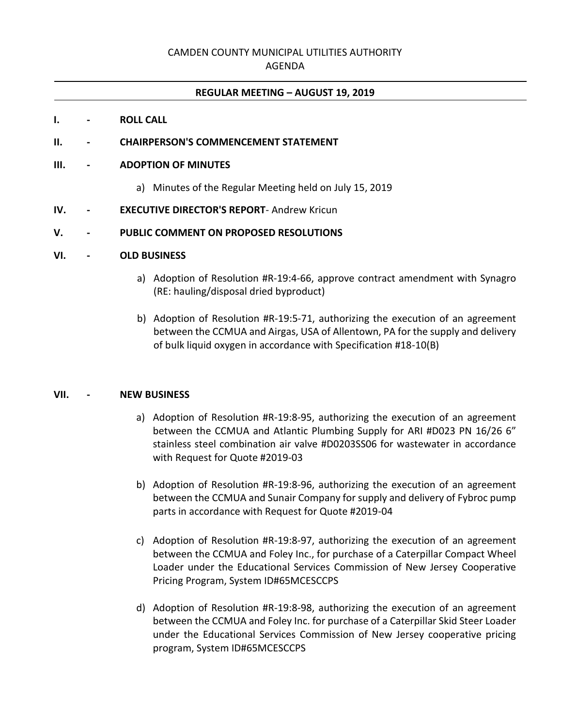## CAMDEN COUNTY MUNICIPAL UTILITIES AUTHORITY

AGENDA

### **REGULAR MEETING – AUGUST 19, 2019**

#### **I. - ROLL CALL**

## **II. - CHAIRPERSON'S COMMENCEMENT STATEMENT**

### **III. - ADOPTION OF MINUTES**

a) Minutes of the Regular Meeting held on July 15, 2019

## **IV. - EXECUTIVE DIRECTOR'S REPORT**- Andrew Kricun

## **V. - PUBLIC COMMENT ON PROPOSED RESOLUTIONS**

### **VI. - OLD BUSINESS**

- a) Adoption of Resolution #R-19:4-66, approve contract amendment with Synagro (RE: hauling/disposal dried byproduct)
- b) Adoption of Resolution #R-19:5-71, authorizing the execution of an agreement between the CCMUA and Airgas, USA of Allentown, PA for the supply and delivery of bulk liquid oxygen in accordance with Specification #18-10(B)

## **VII. - NEW BUSINESS**

- a) Adoption of Resolution #R-19:8-95, authorizing the execution of an agreement between the CCMUA and Atlantic Plumbing Supply for ARI #D023 PN 16/26 6" stainless steel combination air valve #D0203SS06 for wastewater in accordance with Request for Quote #2019-03
- b) Adoption of Resolution #R-19:8-96, authorizing the execution of an agreement between the CCMUA and Sunair Company for supply and delivery of Fybroc pump parts in accordance with Request for Quote #2019-04
- c) Adoption of Resolution #R-19:8-97, authorizing the execution of an agreement between the CCMUA and Foley Inc., for purchase of a Caterpillar Compact Wheel Loader under the Educational Services Commission of New Jersey Cooperative Pricing Program, System ID#65MCESCCPS
- d) Adoption of Resolution #R-19:8-98, authorizing the execution of an agreement between the CCMUA and Foley Inc. for purchase of a Caterpillar Skid Steer Loader under the Educational Services Commission of New Jersey cooperative pricing program, System ID#65MCESCCPS